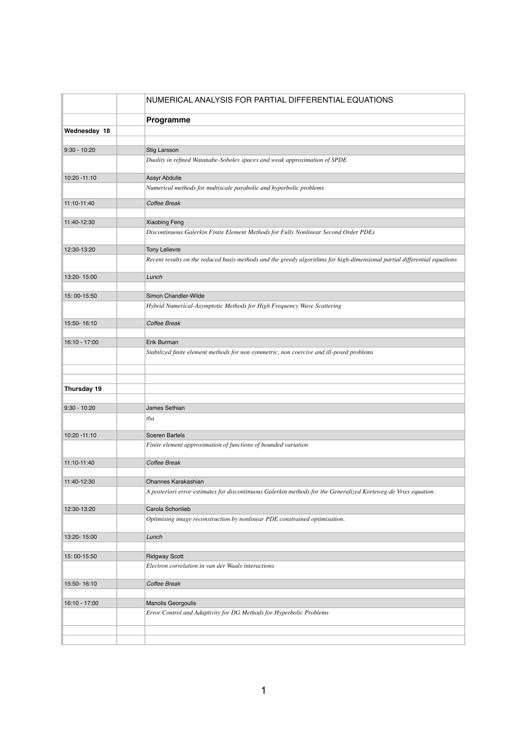|                | NUMERICAL ANALYSIS FOR PARTIAL DIFFERENTIAL EQUATIONS                                                                                         |
|----------------|-----------------------------------------------------------------------------------------------------------------------------------------------|
|                | Programme                                                                                                                                     |
| Wednesday 18   |                                                                                                                                               |
|                |                                                                                                                                               |
| $9:30 - 10:20$ | Stig Larsson<br>Duality in refined Watanabe-Sobolev spaces and weak approximation of SPDE                                                     |
| 10:20 - 11:10  | Assyr Abdulle                                                                                                                                 |
|                | Numerical methods for multiscale parabolic and hyperbolic problems                                                                            |
| 11:10-11:40    | Coffee Break                                                                                                                                  |
| 11:40-12:30    | <b>Xiaobing Feng</b>                                                                                                                          |
|                | Discontinuous Galerkin Finite Element Methods for Fully Nonlinear Second Order PDEs                                                           |
| 12:30-13:20    | <b>Tony Lelievre</b>                                                                                                                          |
|                | Recent results on the reduced basis methods and the greedy algorithms for high-dimensional partial differential equations                     |
| 13:20-15:00    | Lunch                                                                                                                                         |
|                | Simon Chandler-Wilde                                                                                                                          |
| 15:00-15:50    | Hybrid Numerical-Asymptotic Methods for High Frequency Wave Scattering                                                                        |
| 15:50-16:10    | Coffee Break                                                                                                                                  |
|                |                                                                                                                                               |
| 16:10 - 17:00  | Erik Burman                                                                                                                                   |
|                | Stabilized finite element methods for non symmetric, non coercive and ill-posed problems                                                      |
|                |                                                                                                                                               |
| Thursday 19    |                                                                                                                                               |
|                |                                                                                                                                               |
| $9:30 - 10:20$ | James Sethian                                                                                                                                 |
|                | tba                                                                                                                                           |
| 10:20 - 11:10  | Soeren Bartels                                                                                                                                |
|                | Finite element approximation of functions of bounded variation                                                                                |
| 11:10-11:40    | Coffee Break                                                                                                                                  |
|                |                                                                                                                                               |
| 11:40-12:30    | <b>Ohannes Karakashian</b><br>A posteriori error estimates for discontinuous Galerkin methods for the Generalized Korteweg-de Vries equation. |
|                |                                                                                                                                               |
| 12:30-13:20    | Carola Schonlieb<br>Optimising image reconstruction by nonlinear PDE constrained optimisation.                                                |
| 13:20-15:00    | Lunch                                                                                                                                         |
|                |                                                                                                                                               |
| 15:00-15:50    | <b>Ridgway Scott</b>                                                                                                                          |
|                | Electron correlation in van der Waals interactions                                                                                            |
| 15:50-16:10    | Coffee Break                                                                                                                                  |
| 16:10 - 17:00  | <b>Manolis Georgoulis</b>                                                                                                                     |
|                | Error Control and Adaptivity for DG Methods for Hyperbolic Problems                                                                           |
|                |                                                                                                                                               |
|                |                                                                                                                                               |